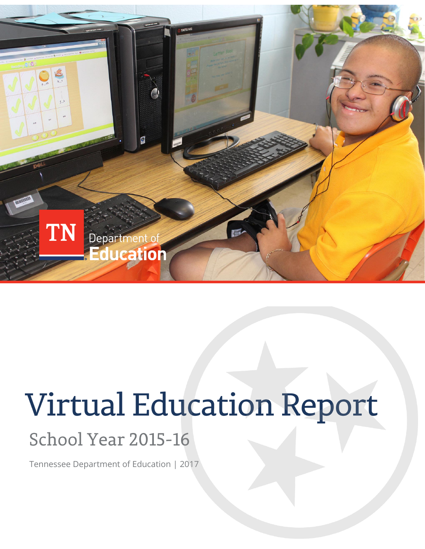

# **Virtual Education Report**

# School Year 2015-16

Tennessee Department of Education | 2017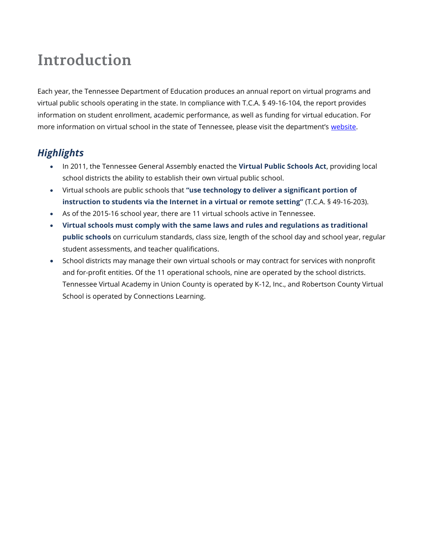# Introduction

Each year, the Tennessee Department of Education produces an annual report on virtual programs and virtual public schools operating in the state. In compliance with T.C.A. § 49-16-104, the report provides information on student enrollment, academic performance, as well as funding for virtual education. For more information on virtual school in the state of Tennessee, please visit the department's [website.](https://www.tn.gov/content/tn/education.html)

## *Highlights*

- In 2011, the Tennessee General Assembly enacted the **Virtual Public Schools Act**, providing local school districts the ability to establish their own virtual public school.
- Virtual schools are public schools that **"use technology to deliver a significant portion of instruction to students via the Internet in a virtual or remote setting"** (T.C.A. § 49-16-203).
- As of the 2015-16 school year, there are 11 virtual schools active in Tennessee.
- **Virtual schools must comply with the same laws and rules and regulations as traditional public schools** on curriculum standards, class size, length of the school day and school year, regular student assessments, and teacher qualifications.
- School districts may manage their own virtual schools or may contract for services with nonprofit and for-profit entities. Of the 11 operational schools, nine are operated by the school districts. Tennessee Virtual Academy in Union County is operated by K-12, Inc., and Robertson County Virtual School is operated by Connections Learning.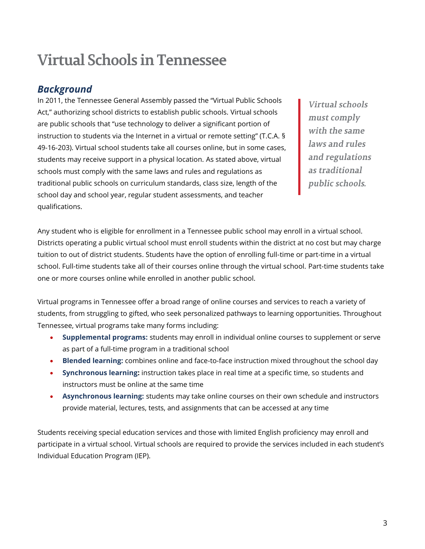# **Virtual Schools in Tennessee**

#### *Background*

In 2011, the Tennessee General Assembly passed the "Virtual Public Schools Act," authorizing school districts to establish public schools. Virtual schools are public schools that "use technology to deliver a significant portion of instruction to students via the Internet in a virtual or remote setting" (T.C.A. § 49-16-203). Virtual school students take all courses online, but in some cases, students may receive support in a physical location. As stated above, virtual schools must comply with the same laws and rules and regulations as traditional public schools on curriculum standards, class size, length of the school day and school year, regular student assessments, and teacher qualifications.

Virtual schools must comply with the same laws and rules and regulations as traditional public schools.

Any student who is eligible for enrollment in a Tennessee public school may enroll in a virtual school. Districts operating a public virtual school must enroll students within the district at no cost but may charge tuition to out of district students. Students have the option of enrolling full-time or part-time in a virtual school. Full-time students take all of their courses online through the virtual school. Part-time students take one or more courses online while enrolled in another public school.

Virtual programs in Tennessee offer a broad range of online courses and services to reach a variety of students, from struggling to gifted, who seek personalized pathways to learning opportunities. Throughout Tennessee, virtual programs take many forms including:

- **Supplemental programs:** students may enroll in individual online courses to supplement or serve as part of a full-time program in a traditional school
- **Blended learning:** combines online and face-to-face instruction mixed throughout the school day
- **Synchronous learning:** instruction takes place in real time at a specific time, so students and instructors must be online at the same time
- **Asynchronous learning:** students may take online courses on their own schedule and instructors provide material, lectures, tests, and assignments that can be accessed at any time

Students receiving special education services and those with limited English proficiency may enroll and participate in a virtual school. Virtual schools are required to provide the services included in each student's Individual Education Program (IEP).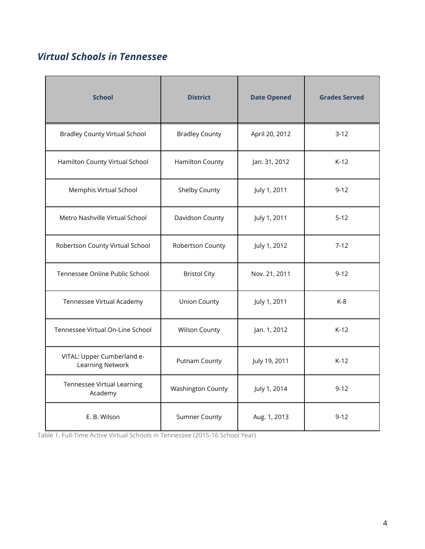## *Virtual Schools in Tennessee*

| <b>School</b>                                  | <b>District</b>          | <b>Date Opened</b> | <b>Grades Served</b> |
|------------------------------------------------|--------------------------|--------------------|----------------------|
| <b>Bradley County Virtual School</b>           | <b>Bradley County</b>    | April 20, 2012     | $3-12$               |
| Hamilton County Virtual School                 | <b>Hamilton County</b>   | Jan. 31, 2012      | $K-12$               |
| Memphis Virtual School                         | Shelby County            | July 1, 2011       | $9 - 12$             |
| Metro Nashville Virtual School                 | Davidson County          | July 1, 2011       | $5 - 12$             |
| Robertson County Virtual School                | Robertson County         | July 1, 2012       | $7 - 12$             |
| Tennessee Online Public School                 | <b>Bristol City</b>      | Nov. 21, 2011      | $9 - 12$             |
| Tennessee Virtual Academy                      | <b>Union County</b>      | July 1, 2011       | $K-8$                |
| Tennessee Virtual On-Line School               | <b>Wilson County</b>     | Jan. 1, 2012       | $K-12$               |
| VITAL: Upper Cumberland e-<br>Learning Network | Putnam County            | July 19, 2011      | $K-12$               |
| <b>Tennessee Virtual Learning</b><br>Academy   | <b>Washington County</b> | July 1, 2014       | $9 - 12$             |
| E. B. Wilson                                   | <b>Sumner County</b>     | Aug. 1, 2013       | $9 - 12$             |

Table 1. Full-Time Active Virtual Schools in Tennessee (2015-16 School Year)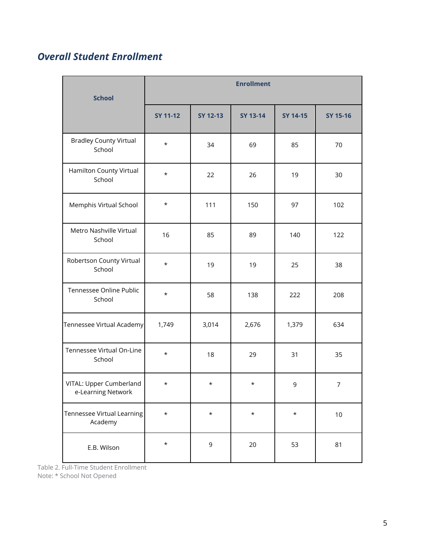## *Overall Student Enrollment*

| <b>School</b>                                 | <b>Enrollment</b> |          |                 |                 |                |  |  |  |
|-----------------------------------------------|-------------------|----------|-----------------|-----------------|----------------|--|--|--|
|                                               | <b>SY 11-12</b>   | SY 12-13 | <b>SY 13-14</b> | <b>SY 14-15</b> | SY 15-16       |  |  |  |
| <b>Bradley County Virtual</b><br>School       | $^\star$          | 34       | 69              | 85              | 70             |  |  |  |
| Hamilton County Virtual<br>School             | $^\star$          | 22       | 26              | 19              | 30             |  |  |  |
| Memphis Virtual School                        | $^\star$          | 111      | 150             | 97              | 102            |  |  |  |
| Metro Nashville Virtual<br>School             | 16                | 85       | 89              | 140             | 122            |  |  |  |
| Robertson County Virtual<br>School            | $^\star$          | 19       | 19              | 25              | 38             |  |  |  |
| Tennessee Online Public<br>School             | $^\star$          | 58       | 138             | 222             | 208            |  |  |  |
| Tennessee Virtual Academy                     | 1,749             | 3,014    | 2,676           | 1,379           | 634            |  |  |  |
| Tennessee Virtual On-Line<br>School           | $^\star$          | 18       | 29              | 31              | 35             |  |  |  |
| VITAL: Upper Cumberland<br>e-Learning Network | $^\star$          | $\star$  | $\star$         | 9               | $\overline{7}$ |  |  |  |
| Tennessee Virtual Learning<br>Academy         | $^\star$          | $^\star$ | $^\star$        | $^\star$        | $10\,$         |  |  |  |
| E.B. Wilson                                   | $^\star$          | 9        | 20              | 53              | 81             |  |  |  |

Table 2. Full-Time Student Enrollment Note: \* School Not Opened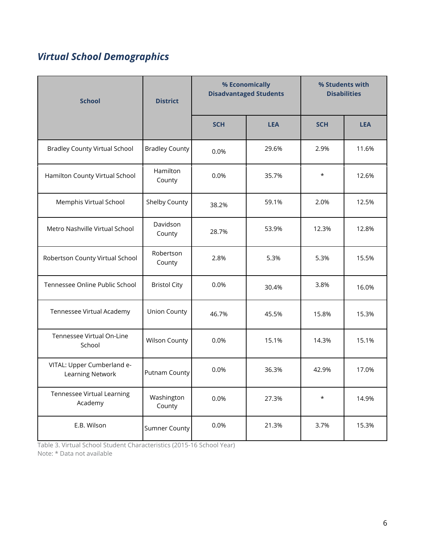# *Virtual School Demographics*

| <b>School</b>                                  | <b>District</b>       | % Economically<br><b>Disadvantaged Students</b> |            | % Students with<br><b>Disabilities</b> |            |
|------------------------------------------------|-----------------------|-------------------------------------------------|------------|----------------------------------------|------------|
|                                                |                       | <b>SCH</b>                                      | <b>LEA</b> | <b>SCH</b>                             | <b>LEA</b> |
| <b>Bradley County Virtual School</b>           | <b>Bradley County</b> | 0.0%                                            | 29.6%      | 2.9%                                   | 11.6%      |
| Hamilton County Virtual School                 | Hamilton<br>County    | 0.0%                                            | 35.7%      | $\star$                                | 12.6%      |
| Memphis Virtual School                         | Shelby County         | 38.2%                                           | 59.1%      | 2.0%                                   | 12.5%      |
| Metro Nashville Virtual School                 | Davidson<br>County    | 28.7%                                           | 53.9%      | 12.3%                                  | 12.8%      |
| Robertson County Virtual School                | Robertson<br>County   | 2.8%                                            | 5.3%       | 5.3%                                   | 15.5%      |
| Tennessee Online Public School                 | <b>Bristol City</b>   | 0.0%                                            | 30.4%      | 3.8%                                   | 16.0%      |
| Tennessee Virtual Academy                      | <b>Union County</b>   | 46.7%                                           | 45.5%      | 15.8%                                  | 15.3%      |
| Tennessee Virtual On-Line<br>School            | Wilson County         | 0.0%                                            | 15.1%      | 14.3%                                  | 15.1%      |
| VITAL: Upper Cumberland e-<br>Learning Network | <b>Putnam County</b>  | 0.0%                                            | 36.3%      | 42.9%                                  | 17.0%      |
| <b>Tennessee Virtual Learning</b><br>Academy   | Washington<br>County  | 0.0%                                            | 27.3%      | $^\star$                               | 14.9%      |
| E.B. Wilson                                    | <b>Sumner County</b>  | 0.0%                                            | 21.3%      | 3.7%                                   | 15.3%      |

Table 3. Virtual School Student Characteristics (2015-16 School Year) Note: \* Data not available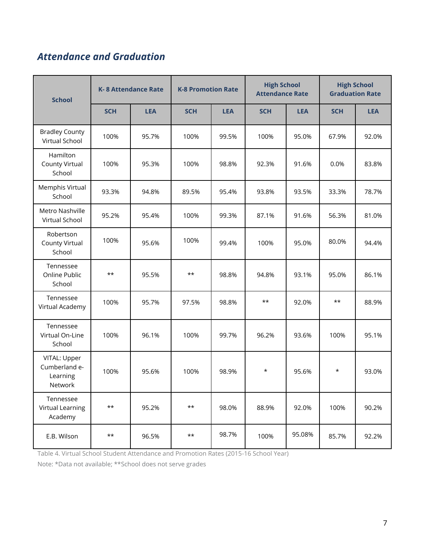## *Attendance and Graduation*

| <b>K-8 Attendance Rate</b><br><b>School</b>          |                 |            | <b>K-8 Promotion Rate</b> |            | <b>High School</b><br><b>Attendance Rate</b> |            | <b>High School</b><br><b>Graduation Rate</b> |            |
|------------------------------------------------------|-----------------|------------|---------------------------|------------|----------------------------------------------|------------|----------------------------------------------|------------|
|                                                      | <b>SCH</b>      | <b>LEA</b> | <b>SCH</b>                | <b>LEA</b> | <b>SCH</b>                                   | <b>LEA</b> | <b>SCH</b>                                   | <b>LEA</b> |
| <b>Bradley County</b><br>Virtual School              | 100%            | 95.7%      | 100%                      | 99.5%      | 100%                                         | 95.0%      | 67.9%                                        | 92.0%      |
| Hamilton<br><b>County Virtual</b><br>School          | 100%            | 95.3%      | 100%                      | 98.8%      | 92.3%                                        | 91.6%      | 0.0%                                         | 83.8%      |
| Memphis Virtual<br>School                            | 93.3%           | 94.8%      | 89.5%                     | 95.4%      | 93.8%                                        | 93.5%      | 33.3%                                        | 78.7%      |
| Metro Nashville<br>Virtual School                    | 95.2%           | 95.4%      | 100%                      | 99.3%      | 87.1%                                        | 91.6%      | 56.3%                                        | 81.0%      |
| Robertson<br><b>County Virtual</b><br>School         | 100%            | 95.6%      | 100%                      | 99.4%      | 100%                                         | 95.0%      | 80.0%                                        | 94.4%      |
| Tennessee<br>Online Public<br>School                 | $^{\star\star}$ | 95.5%      | $\star\star$              | 98.8%      | 94.8%                                        | 93.1%      | 95.0%                                        | 86.1%      |
| Tennessee<br>Virtual Academy                         | 100%            | 95.7%      | 97.5%                     | 98.8%      | $***$                                        | 92.0%      | $\star\star$                                 | 88.9%      |
| Tennessee<br>Virtual On-Line<br>School               | 100%            | 96.1%      | 100%                      | 99.7%      | 96.2%                                        | 93.6%      | 100%                                         | 95.1%      |
| VITAL: Upper<br>Cumberland e-<br>Learning<br>Network | 100%            | 95.6%      | 100%                      | 98.9%      | $^\star$                                     | 95.6%      | $^\star$                                     | 93.0%      |
| Tennessee<br>Virtual Learning<br>Academy             | $***$           | 95.2%      | $\star\star$              | 98.0%      | 88.9%                                        | 92.0%      | 100%                                         | 90.2%      |
| E.B. Wilson                                          | $***$           | 96.5%      | $\star\star$              | 98.7%      | 100%                                         | 95.08%     | 85.7%                                        | 92.2%      |

Table 4. Virtual School Student Attendance and Promotion Rates (2015-16 School Year)

Note: \*Data not available; \*\*School does not serve grades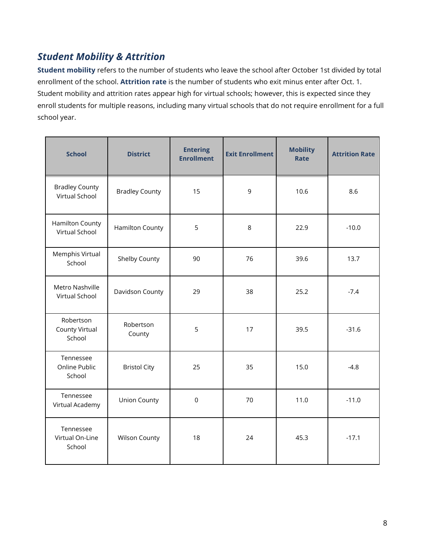#### *Student Mobility & Attrition*

**Student mobility** refers to the number of students who leave the school after October 1st divided by total enrollment of the school. **Attrition rate** is the number of students who exit minus enter after Oct. 1. Student mobility and attrition rates appear high for virtual schools; however, this is expected since they enroll students for multiple reasons, including many virtual schools that do not require enrollment for a full school year.

| <b>School</b>                            | <b>District</b>       | <b>Entering</b><br><b>Enrollment</b> | <b>Exit Enrollment</b> | <b>Mobility</b><br>Rate | <b>Attrition Rate</b> |
|------------------------------------------|-----------------------|--------------------------------------|------------------------|-------------------------|-----------------------|
| <b>Bradley County</b><br>Virtual School  | <b>Bradley County</b> | 15                                   | 9                      | 10.6                    | 8.6                   |
| Hamilton County<br>Virtual School        | Hamilton County       | 5                                    | 8                      | 22.9                    | $-10.0$               |
| Memphis Virtual<br>School                | Shelby County         | 90                                   | 76                     | 39.6                    | 13.7                  |
| Metro Nashville<br><b>Virtual School</b> | Davidson County       | 29                                   | 38                     | 25.2                    | $-7.4$                |
| Robertson<br>County Virtual<br>School    | Robertson<br>County   | 5                                    | 17                     | 39.5                    | $-31.6$               |
| Tennessee<br>Online Public<br>School     | <b>Bristol City</b>   | 25                                   | 35                     | 15.0                    | $-4.8$                |
| Tennessee<br>Virtual Academy             | <b>Union County</b>   | $\mathbf 0$                          | 70                     | 11.0                    | $-11.0$               |
| Tennessee<br>Virtual On-Line<br>School   | Wilson County         | 18                                   | 24                     | 45.3                    | $-17.1$               |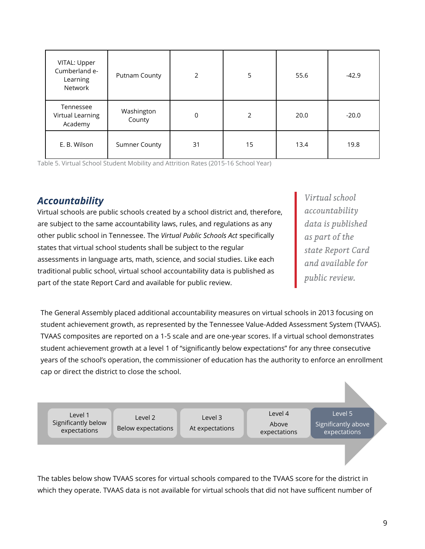| VITAL: Upper<br>Cumberland e-<br>Learning<br>Network | Putnam County        | 2           | 5              | 55.6 | $-42.9$ |
|------------------------------------------------------|----------------------|-------------|----------------|------|---------|
| Tennessee<br>Virtual Learning<br>Academy             | Washington<br>County | $\mathbf 0$ | $\overline{2}$ | 20.0 | $-20.0$ |
| E. B. Wilson                                         | <b>Sumner County</b> | 31          | 15             | 13.4 | 19.8    |

Table 5. Virtual School Student Mobility and Attrition Rates (2015-16 School Year)

#### *Accountability*

Virtual schools are public schools created by a school district and, therefore, are subject to the same accountability laws, rules, and regulations as any other public school in Tennessee. The *Virtual Public Schools Act* specifically states that virtual school students shall be subject to the regular assessments in language arts, math, science, and social studies. Like each traditional public school, virtual school accountability data is published as part of the state Report Card and available for public review.

Virtual school accountability data is published as part of the state Report Card and available for public review.

The General Assembly placed additional accountability measures on virtual schools in 2013 focusing on student achievement growth, as represented by the Tennessee Value-Added Assessment System (TVAAS). TVAAS composites are reported on a 1-5 scale and are one-year scores. If a virtual school demonstrates student achievement growth at a level 1 of "significantly below expectations" for any three consecutive years of the school's operation, the commissioner of education has the authority to enforce an enrollment cap or direct the district to close the school.

Level 1 Significantly below expectations

Level 2 Below expectations

Level 3 At expectations

Level 4 Above expectations

Level 5 Significantly above expectations

The tables below show TVAAS scores for virtual schools compared to the TVAAS score for the district in which they operate. TVAAS data is not available for virtual schools that did not have sufficent number of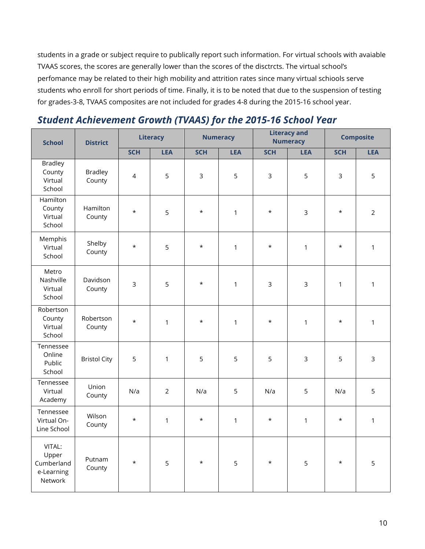students in a grade or subject require to publically report such information. For virtual schools with avaiable TVAAS scores, the scores are generally lower than the scores of the disctrcts. The virtual school's perfomance may be related to their high mobility and attrition rates since many virtual schiools serve students who enroll for short periods of time. Finally, it is to be noted that due to the suspension of testing for grades-3-8, TVAAS composites are not included for grades 4-8 during the 2015-16 school year.

#### *Student Achievement Growth (TVAAS) for the 2015-16 School Year*

| <b>School</b>                                          | <b>District</b>          |                | <b>Literacy</b> |            | <b>Numeracy</b> |              | <b>Literacy and</b><br><b>Numeracy</b> |             | <b>Composite</b> |
|--------------------------------------------------------|--------------------------|----------------|-----------------|------------|-----------------|--------------|----------------------------------------|-------------|------------------|
|                                                        |                          | <b>SCH</b>     | <b>LEA</b>      | <b>SCH</b> | <b>LEA</b>      | <b>SCH</b>   | <b>LEA</b>                             | <b>SCH</b>  | <b>LEA</b>       |
| <b>Bradley</b><br>County<br>Virtual<br>School          | <b>Bradley</b><br>County | $\overline{4}$ | 5               | 3          | 5               | $\mathsf{3}$ | 5                                      | 3           | 5                |
| Hamilton<br>County<br>Virtual<br>School                | Hamilton<br>County       | $\star$        | 5               | $\star$    | $\mathbf{1}$    | $\star$      | 3                                      | $^\star$    | $\overline{2}$   |
| Memphis<br>Virtual<br>School                           | Shelby<br>County         | $\star$        | 5               | $\star$    | $\mathbf{1}$    | $\star$      | 1                                      | $^\star$    | 1                |
| Metro<br>Nashville<br>Virtual<br>School                | Davidson<br>County       | $\mathsf{3}$   | 5               | $\star$    | $\mathbf{1}$    | $\mathsf{3}$ | 3                                      | $\mathbf 1$ | $\mathbf{1}$     |
| Robertson<br>County<br>Virtual<br>School               | Robertson<br>County      | $\star$        | $\mathbf{1}$    | $\star$    | $\mathbf{1}$    | $\star$      | $\mathbf{1}$                           | $^\star$    | $\mathbf{1}$     |
| Tennessee<br>Online<br>Public<br>School                | <b>Bristol City</b>      | 5              | $\mathbf{1}$    | 5          | 5               | 5            | 3                                      | 5           | $\overline{3}$   |
| Tennessee<br>Virtual<br>Academy                        | Union<br>County          | N/a            | $\overline{2}$  | N/a        | 5               | N/a          | 5                                      | N/a         | 5                |
| Tennessee<br>Virtual On-<br>Line School                | Wilson<br>County         | $\star$        | 1               | $^\star$   | $\mathbf{1}$    | $^\star$     | 1                                      | $^\star$    | 1                |
| VITAL:<br>Upper<br>Cumberland<br>e-Learning<br>Network | Putnam<br>County         | $\star$        | 5               | $\star$    | 5               | $^\star$     | 5                                      | $\star$     | 5                |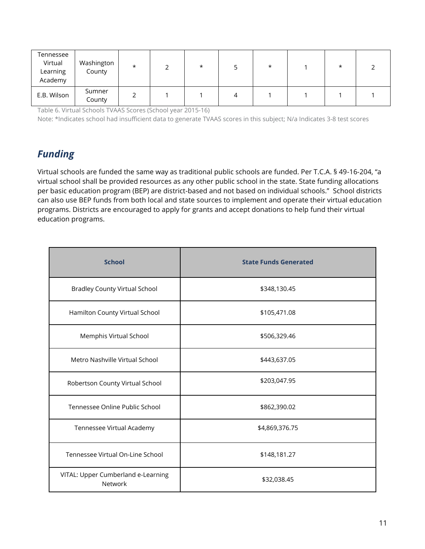| Tennessee<br>Virtual<br>Learning<br>Academy | Washington<br>County | $^\star$ | * |   | $\star$ | $\ast$ |  |
|---------------------------------------------|----------------------|----------|---|---|---------|--------|--|
| E.B. Wilson                                 | Sumner<br>County     |          |   | 4 |         |        |  |

Table 6. Virtual Schools TVAAS Scores (School year 2015-16)

Note: \*Indicates school had insufficient data to generate TVAAS scores in this subject; N/a Indicates 3-8 test scores

## *Funding*

Virtual schools are funded the same way as traditional public schools are funded. Per T.C.A. § 49-16-204, "a virtual school shall be provided resources as any other public school in the state. State funding allocations per basic education program (BEP) are district-based and not based on individual schools." School districts can also use BEP funds from both local and state sources to implement and operate their virtual education programs. Districts are encouraged to apply for grants and accept donations to help fund their virtual education programs.

| <b>School</b>                                 | <b>State Funds Generated</b> |
|-----------------------------------------------|------------------------------|
| <b>Bradley County Virtual School</b>          | \$348,130.45                 |
| Hamilton County Virtual School                | \$105,471.08                 |
| Memphis Virtual School                        | \$506,329.46                 |
| Metro Nashville Virtual School                | \$443,637.05                 |
| Robertson County Virtual School               | \$203,047.95                 |
| Tennessee Online Public School                | \$862,390.02                 |
| Tennessee Virtual Academy                     | \$4,869,376.75               |
| Tennessee Virtual On-Line School              | \$148,181.27                 |
| VITAL: Upper Cumberland e-Learning<br>Network | \$32,038.45                  |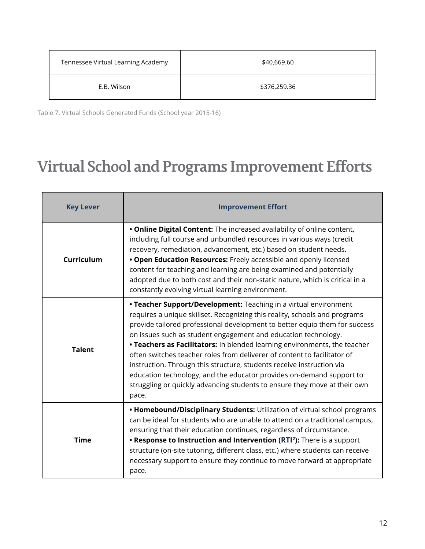| Tennessee Virtual Learning Academy | \$40,669.60  |
|------------------------------------|--------------|
| E.B. Wilson                        | \$376,259.36 |

Table 7. Virtual Schools Generated Funds (School year 2015-16)

# **Virtual School and Programs Improvement Efforts**

| <b>Key Lever</b> | <b>Improvement Effort</b>                                                                                                                                                                                                                                                                                                                                                                                                                                                                                                                                                                                                                                                                      |
|------------------|------------------------------------------------------------------------------------------------------------------------------------------------------------------------------------------------------------------------------------------------------------------------------------------------------------------------------------------------------------------------------------------------------------------------------------------------------------------------------------------------------------------------------------------------------------------------------------------------------------------------------------------------------------------------------------------------|
| Curriculum       | . Online Digital Content: The increased availability of online content,<br>including full course and unbundled resources in various ways (credit<br>recovery, remediation, advancement, etc.) based on student needs.<br>. Open Education Resources: Freely accessible and openly licensed<br>content for teaching and learning are being examined and potentially<br>adopted due to both cost and their non-static nature, which is critical in a<br>constantly evolving virtual learning environment.                                                                                                                                                                                        |
| <b>Talent</b>    | • Teacher Support/Development: Teaching in a virtual environment<br>requires a unique skillset. Recognizing this reality, schools and programs<br>provide tailored professional development to better equip them for success<br>on issues such as student engagement and education technology.<br>• Teachers as Facilitators: In blended learning environments, the teacher<br>often switches teacher roles from deliverer of content to facilitator of<br>instruction. Through this structure, students receive instruction via<br>education technology, and the educator provides on-demand support to<br>struggling or quickly advancing students to ensure they move at their own<br>pace. |
| <b>Time</b>      | . Homebound/Disciplinary Students: Utilization of virtual school programs<br>can be ideal for students who are unable to attend on a traditional campus,<br>ensuring that their education continues, regardless of circumstance.<br>• Response to Instruction and Intervention (RTI <sup>2</sup> ): There is a support<br>structure (on-site tutoring, different class, etc.) where students can receive<br>necessary support to ensure they continue to move forward at appropriate<br>pace.                                                                                                                                                                                                  |